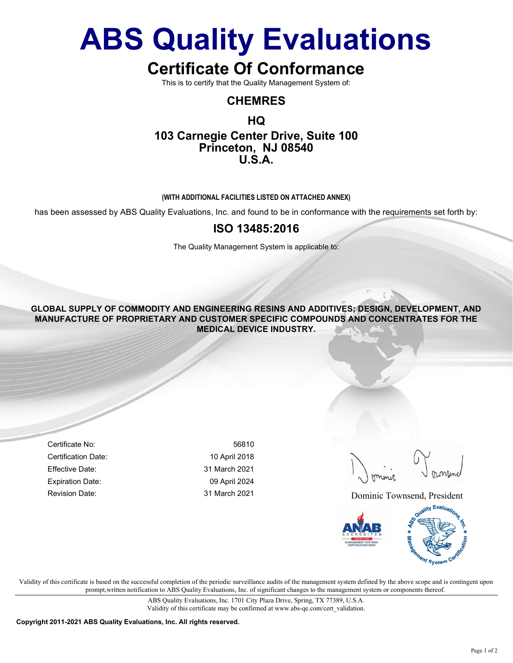# ABS Quality Evaluations

# Certificate Of Conformance

This is to certify that the Quality Management System of:

### CHEMRES

## HQ 103 Carnegie Center Drive, Suite 100 Princeton, NJ 08540 U.S.A.

#### (WITH ADDITIONAL FACILITIES LISTED ON ATTACHED ANNEX)

has been assessed by ABS Quality Evaluations, Inc. and found to be in conformance with the requirements set forth by:

### ISO 13485:2016

The Quality Management System is applicable to:

GLOBAL SUPPLY OF COMMODITY AND ENGINEERING RESINS AND ADDITIVES; DESIGN, DEVELOPMENT, AND MANUFACTURE OF PROPRIETARY AND CUSTOMER SPECIFIC COMPOUNDS AND CONCENTRATES FOR THE MEDICAL DEVICE INDUSTRY.

Certificate No: 56810 Certification Date: 10 April 2018 Effective Date: 31 March 2021 Expiration Date: 09 April 2024

Revision Date: The Contract of the Same 31 March 2021 2011 2021 Dominic Townsend, President



Validity of this certificate is based on the successful completion of the periodic surveillance audits of the management system defined by the above scope and is contingent upon prompt,written notification to ABS Quality Evaluations, Inc. of significant changes to the management system or components thereof.

> ABS Quality Evaluations, Inc. 1701 City Plaza Drive, Spring, TX 77389, U.S.A. Validity of this certificate may be confirmed at www.abs-qe.com/cert\_validation.

Copyright 2011-2021 ABS Quality Evaluations, Inc. All rights reserved.